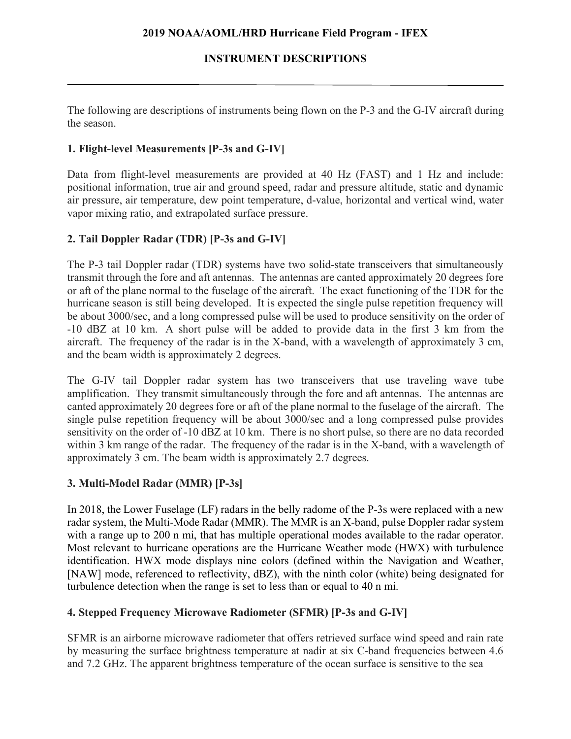## **INSTRUMENT DESCRIPTIONS**

The following are descriptions of instruments being flown on the P-3 and the G-IV aircraft during the season.

## **1. Flight-level Measurements [P-3s and G-IV]**

Data from flight-level measurements are provided at 40 Hz (FAST) and 1 Hz and include: positional information, true air and ground speed, radar and pressure altitude, static and dynamic air pressure, air temperature, dew point temperature, d-value, horizontal and vertical wind, water vapor mixing ratio, and extrapolated surface pressure.

## **2. Tail Doppler Radar (TDR) [P-3s and G-IV]**

The P-3 tail Doppler radar (TDR) systems have two solid-state transceivers that simultaneously transmit through the fore and aft antennas. The antennas are canted approximately 20 degrees fore or aft of the plane normal to the fuselage of the aircraft. The exact functioning of the TDR for the hurricane season is still being developed. It is expected the single pulse repetition frequency will be about 3000/sec, and a long compressed pulse will be used to produce sensitivity on the order of -10 dBZ at 10 km. A short pulse will be added to provide data in the first 3 km from the aircraft. The frequency of the radar is in the X-band, with a wavelength of approximately 3 cm, and the beam width is approximately 2 degrees.

The G-IV tail Doppler radar system has two transceivers that use traveling wave tube amplification. They transmit simultaneously through the fore and aft antennas. The antennas are canted approximately 20 degrees fore or aft of the plane normal to the fuselage of the aircraft. The single pulse repetition frequency will be about 3000/sec and a long compressed pulse provides sensitivity on the order of -10 dBZ at 10 km. There is no short pulse, so there are no data recorded within 3 km range of the radar. The frequency of the radar is in the X-band, with a wavelength of approximately 3 cm. The beam width is approximately 2.7 degrees.

### **3. Multi-Model Radar (MMR) [P-3s]**

In 2018, the Lower Fuselage (LF) radars in the belly radome of the P-3s were replaced with a new radar system, the Multi-Mode Radar (MMR). The MMR is an X-band, pulse Doppler radar system with a range up to 200 n mi, that has multiple operational modes available to the radar operator. Most relevant to hurricane operations are the Hurricane Weather mode (HWX) with turbulence identification. HWX mode displays nine colors (defined within the Navigation and Weather, [NAW] mode, referenced to reflectivity, dBZ), with the ninth color (white) being designated for turbulence detection when the range is set to less than or equal to 40 n mi.

# **4. Stepped Frequency Microwave Radiometer (SFMR) [P-3s and G-IV]**

SFMR is an airborne microwave radiometer that offers retrieved surface wind speed and rain rate by measuring the surface brightness temperature at nadir at six C-band frequencies between 4.6 and 7.2 GHz. The apparent brightness temperature of the ocean surface is sensitive to the sea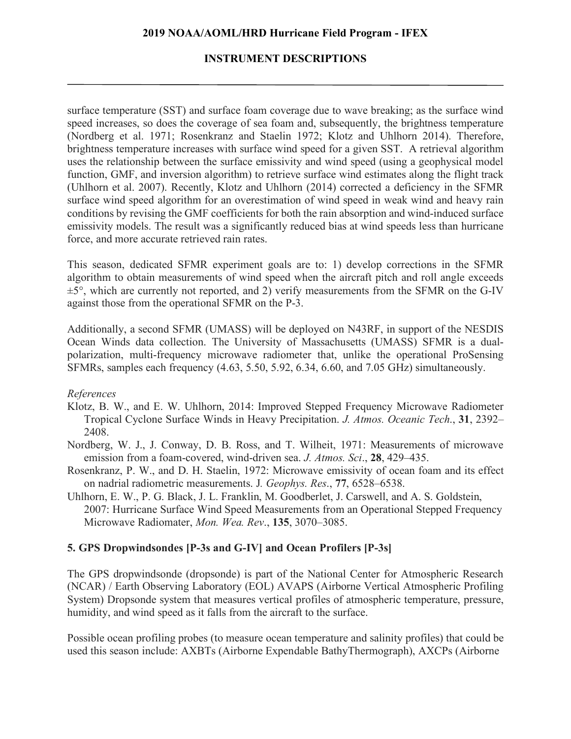## **INSTRUMENT DESCRIPTIONS**

surface temperature (SST) and surface foam coverage due to wave breaking; as the surface wind speed increases, so does the coverage of sea foam and, subsequently, the brightness temperature (Nordberg et al. 1971; Rosenkranz and Staelin 1972; Klotz and Uhlhorn 2014). Therefore, brightness temperature increases with surface wind speed for a given SST. A retrieval algorithm uses the relationship between the surface emissivity and wind speed (using a geophysical model function, GMF, and inversion algorithm) to retrieve surface wind estimates along the flight track (Uhlhorn et al. 2007). Recently, Klotz and Uhlhorn (2014) corrected a deficiency in the SFMR surface wind speed algorithm for an overestimation of wind speed in weak wind and heavy rain conditions by revising the GMF coefficients for both the rain absorption and wind-induced surface emissivity models. The result was a significantly reduced bias at wind speeds less than hurricane force, and more accurate retrieved rain rates.

This season, dedicated SFMR experiment goals are to: 1) develop corrections in the SFMR algorithm to obtain measurements of wind speed when the aircraft pitch and roll angle exceeds  $\pm$ 5°, which are currently not reported, and 2) verify measurements from the SFMR on the G-IV against those from the operational SFMR on the P-3.

Additionally, a second SFMR (UMASS) will be deployed on N43RF, in support of the NESDIS Ocean Winds data collection. The University of Massachusetts (UMASS) SFMR is a dualpolarization, multi-frequency microwave radiometer that, unlike the operational ProSensing SFMRs, samples each frequency (4.63, 5.50, 5.92, 6.34, 6.60, and 7.05 GHz) simultaneously.

### *References*

- Klotz, B. W., and E. W. Uhlhorn, 2014: Improved Stepped Frequency Microwave Radiometer Tropical Cyclone Surface Winds in Heavy Precipitation. *J. Atmos. Oceanic Tech*., **31**, 2392– 2408.
- Nordberg, W. J., J. Conway, D. B. Ross, and T. Wilheit, 1971: Measurements of microwave emission from a foam-covered, wind-driven sea. *J. Atmos. Sci*., **28**, 429–435.
- Rosenkranz, P. W., and D. H. Staelin, 1972: Microwave emissivity of ocean foam and its effect on nadrial radiometric measurements. J*. Geophys. Res*., **77**, 6528–6538.
- Uhlhorn, E. W., P. G. Black, J. L. Franklin, M. Goodberlet, J. Carswell, and A. S. Goldstein, 2007: Hurricane Surface Wind Speed Measurements from an Operational Stepped Frequency Microwave Radiomater, *Mon. Wea. Rev*., **135**, 3070–3085.

# **5. GPS Dropwindsondes [P-3s and G-IV] and Ocean Profilers [P-3s]**

The GPS dropwindsonde (dropsonde) is part of the National Center for Atmospheric Research (NCAR) / Earth Observing Laboratory (EOL) AVAPS (Airborne Vertical Atmospheric Profiling System) Dropsonde system that measures vertical profiles of atmospheric temperature, pressure, humidity, and wind speed as it falls from the aircraft to the surface.

Possible ocean profiling probes (to measure ocean temperature and salinity profiles) that could be used this season include: AXBTs (Airborne Expendable BathyThermograph), AXCPs (Airborne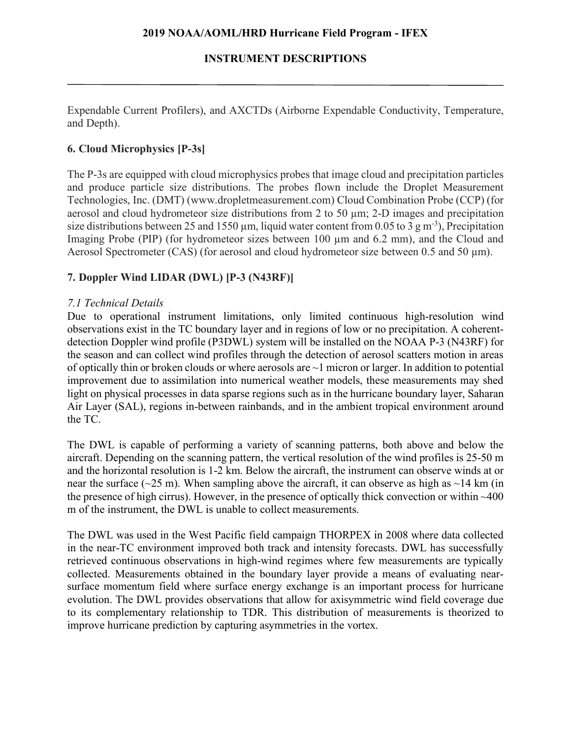# **INSTRUMENT DESCRIPTIONS**

Expendable Current Profilers), and AXCTDs (Airborne Expendable Conductivity, Temperature, and Depth).

# **6. Cloud Microphysics [P-3s]**

The P-3s are equipped with cloud microphysics probes that image cloud and precipitation particles and produce particle size distributions. The probes flown include the Droplet Measurement Technologies, Inc. (DMT) (www.dropletmeasurement.com) Cloud Combination Probe (CCP) (for aerosol and cloud hydrometeor size distributions from 2 to 50 µm; 2-D images and precipitation size distributions between 25 and 1550  $\mu$ m, liquid water content from 0.05 to 3 g m<sup>-3</sup>), Precipitation Imaging Probe (PIP) (for hydrometeor sizes between 100 µm and 6.2 mm), and the Cloud and Aerosol Spectrometer (CAS) (for aerosol and cloud hydrometeor size between 0.5 and 50  $\mu$ m).

# **7. Doppler Wind LIDAR (DWL) [P-3 (N43RF)]**

# *7.1 Technical Details*

Due to operational instrument limitations, only limited continuous high-resolution wind observations exist in the TC boundary layer and in regions of low or no precipitation. A coherentdetection Doppler wind profile (P3DWL) system will be installed on the NOAA P-3 (N43RF) for the season and can collect wind profiles through the detection of aerosol scatters motion in areas of optically thin or broken clouds or where aerosols are ~1 micron or larger. In addition to potential improvement due to assimilation into numerical weather models, these measurements may shed light on physical processes in data sparse regions such as in the hurricane boundary layer, Saharan Air Layer (SAL), regions in-between rainbands, and in the ambient tropical environment around the TC.

The DWL is capable of performing a variety of scanning patterns, both above and below the aircraft. Depending on the scanning pattern, the vertical resolution of the wind profiles is 25-50 m and the horizontal resolution is 1-2 km. Below the aircraft, the instrument can observe winds at or near the surface ( $\sim$ 25 m). When sampling above the aircraft, it can observe as high as  $\sim$ 14 km (in the presence of high cirrus). However, in the presence of optically thick convection or within ~400 m of the instrument, the DWL is unable to collect measurements.

The DWL was used in the West Pacific field campaign THORPEX in 2008 where data collected in the near-TC environment improved both track and intensity forecasts. DWL has successfully retrieved continuous observations in high-wind regimes where few measurements are typically collected. Measurements obtained in the boundary layer provide a means of evaluating nearsurface momentum field where surface energy exchange is an important process for hurricane evolution. The DWL provides observations that allow for axisymmetric wind field coverage due to its complementary relationship to TDR. This distribution of measurements is theorized to improve hurricane prediction by capturing asymmetries in the vortex.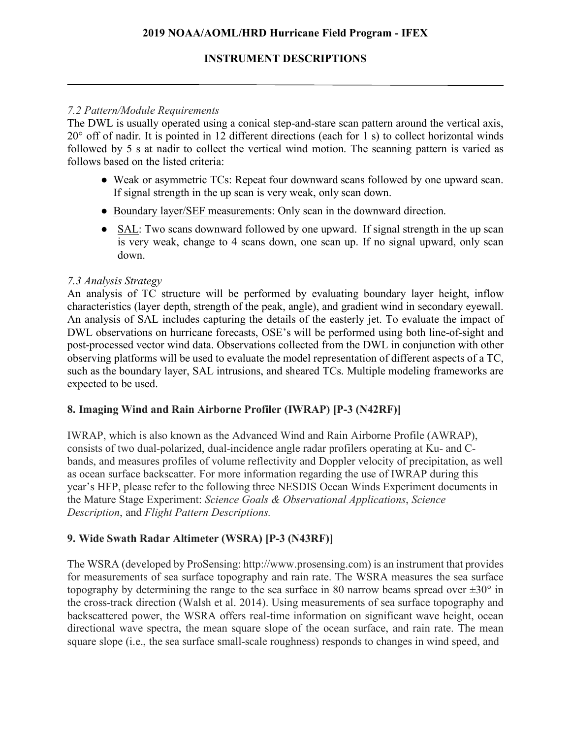## **INSTRUMENT DESCRIPTIONS**

### *7.2 Pattern/Module Requirements*

The DWL is usually operated using a conical step-and-stare scan pattern around the vertical axis, 20° off of nadir. It is pointed in 12 different directions (each for 1 s) to collect horizontal winds followed by 5 s at nadir to collect the vertical wind motion. The scanning pattern is varied as follows based on the listed criteria:

- Weak or asymmetric TCs: Repeat four downward scans followed by one upward scan. If signal strength in the up scan is very weak, only scan down.
- Boundary layer/SEF measurements: Only scan in the downward direction.
- SAL: Two scans downward followed by one upward. If signal strength in the up scan is very weak, change to 4 scans down, one scan up. If no signal upward, only scan down.

### *7.3 Analysis Strategy*

An analysis of TC structure will be performed by evaluating boundary layer height, inflow characteristics (layer depth, strength of the peak, angle), and gradient wind in secondary eyewall. An analysis of SAL includes capturing the details of the easterly jet. To evaluate the impact of DWL observations on hurricane forecasts, OSE's will be performed using both line-of-sight and post-processed vector wind data. Observations collected from the DWL in conjunction with other observing platforms will be used to evaluate the model representation of different aspects of a TC, such as the boundary layer, SAL intrusions, and sheared TCs. Multiple modeling frameworks are expected to be used.

# **8. Imaging Wind and Rain Airborne Profiler (IWRAP) [P-3 (N42RF)]**

IWRAP, which is also known as the Advanced Wind and Rain Airborne Profile (AWRAP), consists of two dual-polarized, dual-incidence angle radar profilers operating at Ku- and Cbands, and measures profiles of volume reflectivity and Doppler velocity of precipitation, as well as ocean surface backscatter. For more information regarding the use of IWRAP during this year's HFP, please refer to the following three NESDIS Ocean Winds Experiment documents in the Mature Stage Experiment: *Science Goals & Observational Applications*, *Science Description*, and *Flight Pattern Descriptions.*

# **9. Wide Swath Radar Altimeter (WSRA) [P-3 (N43RF)]**

The WSRA (developed by ProSensing: http://www.prosensing.com) is an instrument that provides for measurements of sea surface topography and rain rate. The WSRA measures the sea surface topography by determining the range to the sea surface in 80 narrow beams spread over  $\pm 30^{\circ}$  in the cross-track direction (Walsh et al. 2014). Using measurements of sea surface topography and backscattered power, the WSRA offers real-time information on significant wave height, ocean directional wave spectra, the mean square slope of the ocean surface, and rain rate. The mean square slope (i.e., the sea surface small-scale roughness) responds to changes in wind speed, and